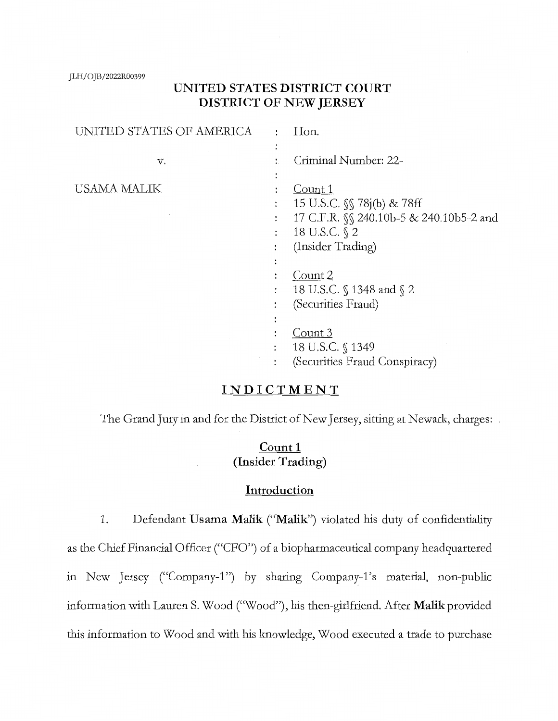JLH/OJB/2022R00399

# **UNITED STATES DISTRICT COURT DISTRICT OF NEW JERSEY**

| UNITED STATES OF AMERICA | ٠                    | Hon.                                           |
|--------------------------|----------------------|------------------------------------------------|
|                          |                      |                                                |
| v.                       |                      | Criminal Number: 22-                           |
|                          |                      |                                                |
| USAMA MALIK              |                      | Count 1                                        |
|                          | $\ddot{\cdot}$       | 15 U.S.C. $\sqrt{\ }$ 78j(b) & 78ff            |
|                          | :                    | 17 C.F.R. <i>SS</i> 240.10b-5 & 240.10b5-2 and |
|                          | :                    | 18 U.S.C. § 2                                  |
|                          |                      | (Insider Trading)                              |
|                          | ٠                    |                                                |
|                          |                      | Count 2                                        |
|                          | $\ddot{\phantom{a}}$ | 18 U.S.C. § 1348 and § 2                       |
|                          | ٠                    | (Securities Fraud)                             |
|                          | $\bullet$            |                                                |
|                          |                      | Count 3                                        |
|                          |                      | 18 U.S.C. § 1349                               |
|                          |                      | (Securities Fraud Conspiracy)                  |

# **INDICTMENT**

The Grand Jury in and for the District of New Jersey, sitting at Newark, charges:

# **Count1 (Insider Trading)**

#### **Introduction**

1. Defendant **Usama Malik ("Malik")** violated his duty of confidentiality as the Chief Financial Officer ("CFO") of a biopharmaceutical company headquartered in New Jersey ("Company-1") by sharing Company-1's material, non-public information with Lauren S. Wood ("Wood"), his then-girlfriend. After **Malik** provided this information to Wood and with his knowledge, Wood executed a trade to purchase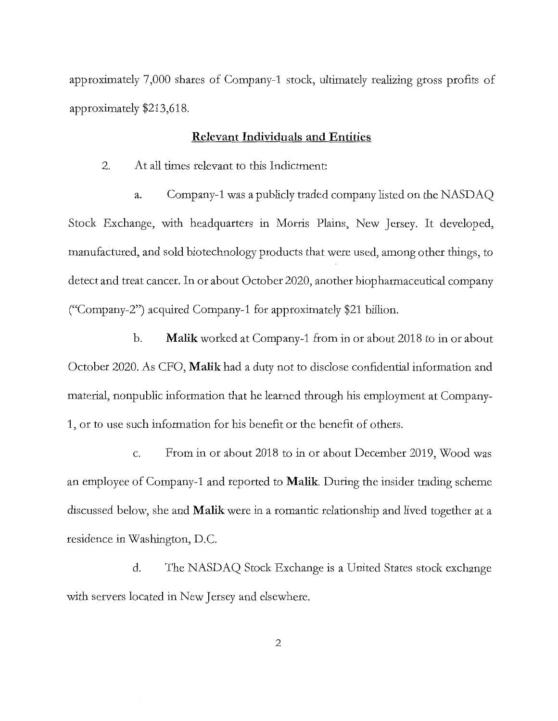approximately 7,000 shares of Company-1 stock, ultimately realizing gross profits of approximately \$213,618.

## **Relevant Individuals and Entities**

2. At all times relevant to this Indictment:

a. Company-1 was a publicly traded company listed on the NASDAQ Stock Exchange, with headquarters in Morris Plains, New Jersey. It developed, manufactured, and sold biotechnology products that were used, among other things, to detect and treat cancer. In or about October 2020, another biopharmaceutical company ("Company-2") acquired Company-1 for approximately \$21 billion.

b. **Malik** worked at Company-1 from in or about 2018 to in or about October 2020. As CFO, **Malik** had a duty not to disclose confidential information and material, nonpublic information that he learned through his employment at Company-1, or to use such information for his benefit or the benefit of others.

c. From in or about 2018 to in or about December 2019, Wood was an employee of Company-1 and reported to **Malik.** During the insider trading scheme discussed below, she and **Malik** were in a romantic relationship and lived together at a residence in Washington, D.C.

d. The NASDAQ Stock Exchange is a United States stock exchange with servers located in New Jersey and elsewhere.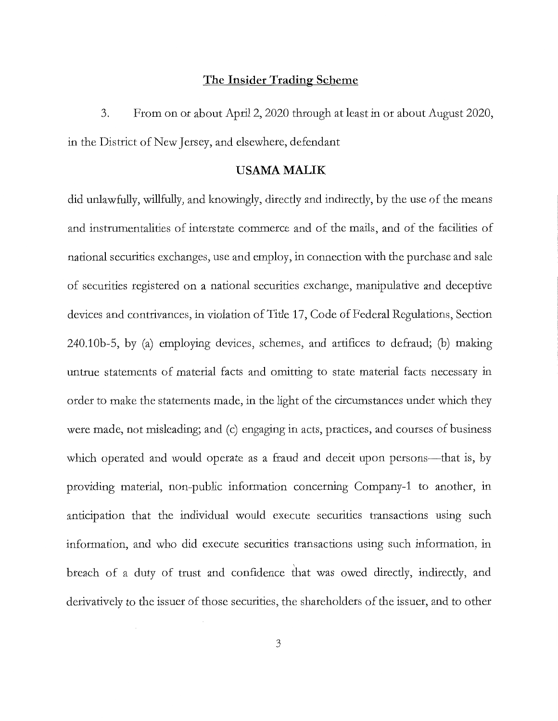#### **The Insider Trading Scheme**

3. From on or about April 2, 2020 through at least in or about August 2020, in the District of New Jersey, and elsewhere, defendant

#### **USAMAMALIK**

did unlawfully, willfully, and knowingly, directly and indirectly, by the use of the means and instiumentalities of interstate commerce and of the mails, and of the facilities of national securities exchanges, use and employ, in connection with the purchase and sale of securities registered on a national securities exchange, manipulative and deceptive devices and contrivances, in violation of Title 17, Code of Federal Regulations, Section 240.l0b-5, by (a) employing devices, schemes, and artifices to defraud; (b) making untrue statements of material facts and omitting to state material facts necessary in order to make the statements made, in the light of the circumstances under which they were made, not misleading; and (c) engaging in acts, practices, and courses of business which operated and would operate as a fraud and deceit upon persons—that is, by providing material, non-public information concerning Company-1 to another, in anticipation that the individual would execute securities transactions using such information, and who did execute securities transactions using such information, in breach of a duty of trust and confidence that was owed directly, indirectly, and derivatively to the issuer of those securities, the shareholders of the issuer, and to other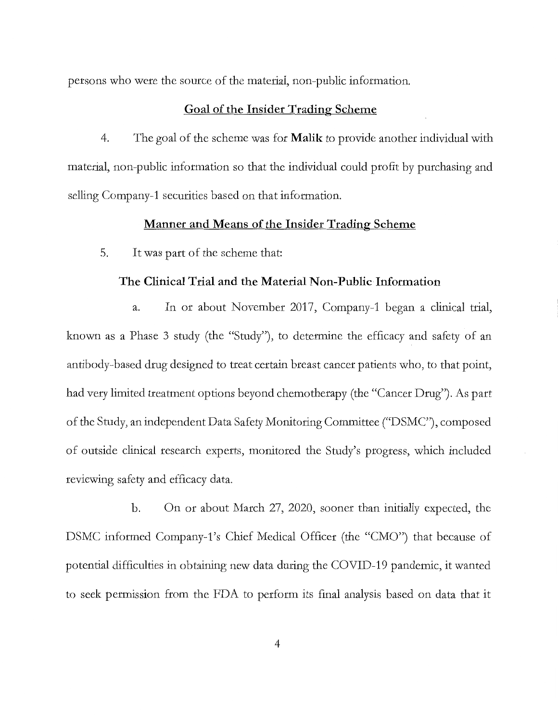persons who were the source of the material, non-public information.

#### **Goal of the Insider Trading Scheme**

4. The goal of the scheme was for **Malik** to provide another individual with material, non-public information so that the individual could profit by purchasing and selling Company-1 securities based on that information.

#### **Manner and Means of the Insider Trading Scheme**

5. It was part of the scheme that:

### **The Clinical Trial and the Material Non-Public Information**

a. In or about November 2017, Company-1 began a clinical trial, known as a Phase 3 study (the "Study"), to determine the efficacy and safety of an antibody-based drug designed to treat certain breast cancer patients who, to that point, had very limited treatment options beyond chemotherapy (the "Cancer Drug"). As part of the Study, an independent Data Safety Monitoring Committee ("DSMC"), composed of outside clinical research experts, monitored the Study's progress, which included reviewing safety and efficacy data.

b. On or about March 27, 2020, sooner than initially expected, the DSMC informed Company-1's Chief Medical Officer (the "CMO") that because of potential difficulties in obtaining new data during the COVID-19 pandemic, it wanted to seek permission from the FDA to perform its final analysis based on data that it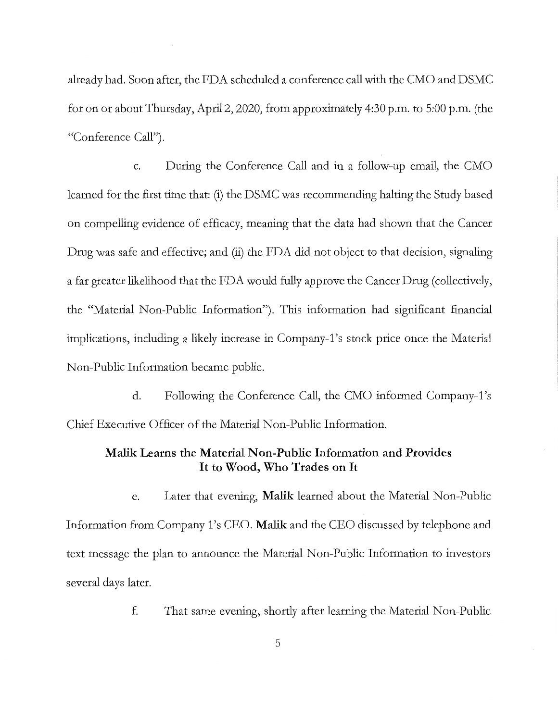already had. Soon after, the FDA scheduled a conference call with the CMO and DSMC for on or about Thursday, April 2, 2020, from approximately 4:30 p.m. to 5:00 p.m. (the "Conference Call").

c. During the Conference Call and in a follow-up email, the CMO learned for the first time that: (i) the DSMC was recommending halting the Study based on compelling evidence of efficacy, meaning that the data had shown that the Cancer Drug was safe and effective; and (ii) the FDA did not object to that decision, signaling a far greater likelihood that the FDA would fully approve the Cancer Drug (collectively, the "Material Non-Public Information"). This information had significant financial implications, including a likely increase in Company-1's stock price once the Material Non-Public Information became public.

d. Following the Conference Call, the CMO informed Company-i's Chief Executive Officer of the Material Non-Public Information.

## **Malik Learns the Material Non-Public Information and Provides It to Wood, Who Trades on It**

e. Later that evening, **Malik** learned about the Material Non-Public Information from Company i's CEO. **Malik** and the CEO discussed by telephone and text message the plan to announce the Material Non-Public Information to investors several days later.

f. That same evening, shortly after learning the Material Non-Public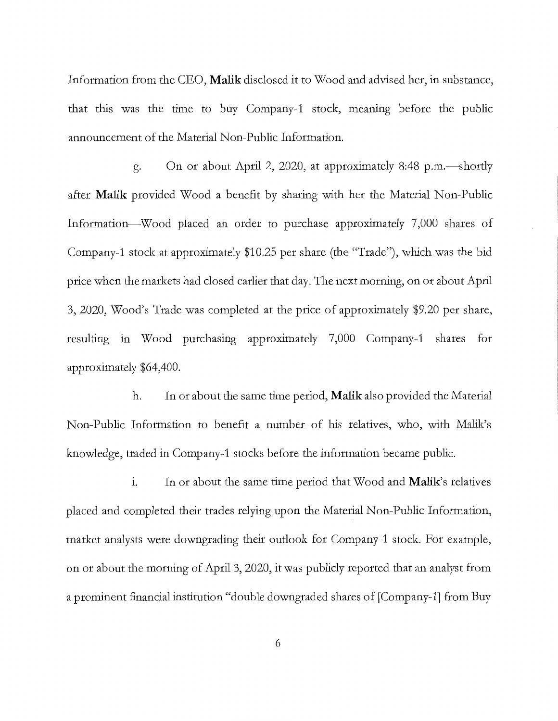Information from the CEO, **Malik** disclosed it to Wood and advised her, in substance, that this was the time to buy Company-1 stock, meaning before the public announcement of the Material Non-Public Information.

g. On or about April 2, 2020, at approximately 8:48 p.m.-shortly after **Malik** provided Wood a benefit by sharing with her the Material Non-Public Information-Wood placed an order to purchase approximately 7,000 shares of Company-1 stock at approximately \$10.25 per share (the "Trade"), which was the **bid**  price when the markets had closed earlier that day. The next morning, on or about April 3, 2020, Wood's Trade was completed at the price of approximately \$9.20 per share, resulting in Wood purchasing approximately 7,000 Company-1 shares for approximately \$64,400.

h. In or about the same time period, **Malik** also provided the Material Non-Public Information to benefit a number of his relatives, who, with Malik's knowledge, traded in Company-1 stocks before the information became public.

**1.** In or about the same time period that Wood and **Malik**'s relatives placed and completed their trades relying upon the Material Non-Public Information, market analysts were downgrading their outlook for Company-1 stock. For example, on or about the morning of April 3, 2020, it was publicly reported that an analyst from a prominent financial institution "double downgraded shares of [Company-1] from Buy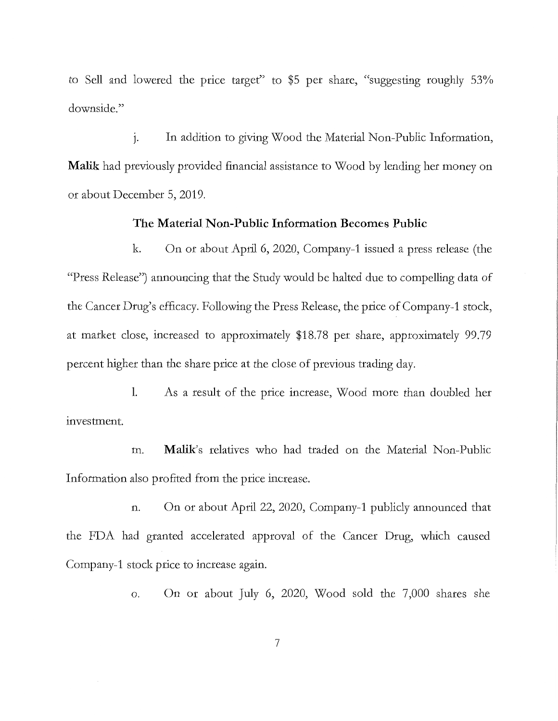to Sell and lowered the price target" to \$5 per share, "suggesting roughly 53% downside."

J. In addition to giving Wood the Material Non-Public Information, **Malik** had previously provided financial assistance to Wood by lending her money on or about December 5, 2019.

## **The Material Non-Public Information Becomes Public**

k. On or about April 6, 2020, Company-1 issued a press release (the "Press Release") announcing that the Study would be halted due to compelling data of the Cancer Drug's efficacy. Following the Press Release, the price of Company-1 stock, at market close, increased to approximately \$18.78 per share, approximately 99.79 percent higher than the share price at the close of previous trading day.

**1.** As a result of the price increase, Wood more than doubled her investment.

m. **Malik's** relatives who had traded on the Material Non-Public Information also profited from the price increase.

n. On or about April 22, 2020, Company-1 publicly announced that the FDA had granted accelerated approval of the Cancer Drug, which caused Company-1 stock price to increase again.

o. On or about July 6, 2020, Wood sold the 7,000 shares she

7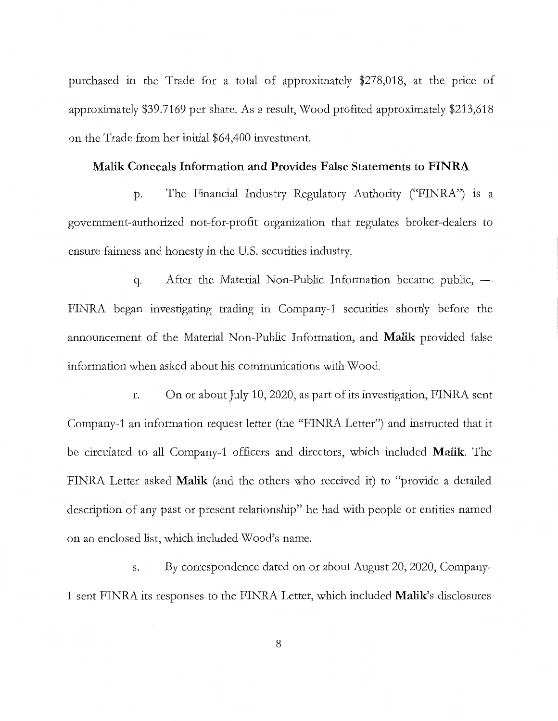purchased in the Trade for a total of approximately \$278,018, at the price of approximately \$39.7169 per share. As a result, Wood profited approximately \$213,618 on the Trade from her initial \$64,400 investment.

## **Malik Conceals Information and Provides False Statements to FINRA**

p. The Financial Industry Regulatory Authority ("FINRA") is a government-authorized not-for-profit organization that regulates broker-dealers to ensure fairness and honesty in the U.S. securities industiy.

q. After the Material Non-Public Information became public, -FINRA began investigating trading in Company-1 securities shortly before the announcement of the Material Non-Public Information, and **Malik** provided false information when asked about his communications with Wood.

r. On or about July 10, 2020, as part of its investigation, FINRA sent Company-1 an information request letter (the "FINRA Letter") and instiucted that it be circulated to all Company-1 officers and directors, which included **Malik.** The FINRA Letter asked **Malik** (and the others who received it) to "provide a detailed description of any past or present relationship" he had with people or entities named on an enclosed list, which included Wood's name.

s. By correspondence dated on or about August 20, 2020, Company-1 sent FINRA its responses to the FINRA Letter, which included **Malik's** disclosures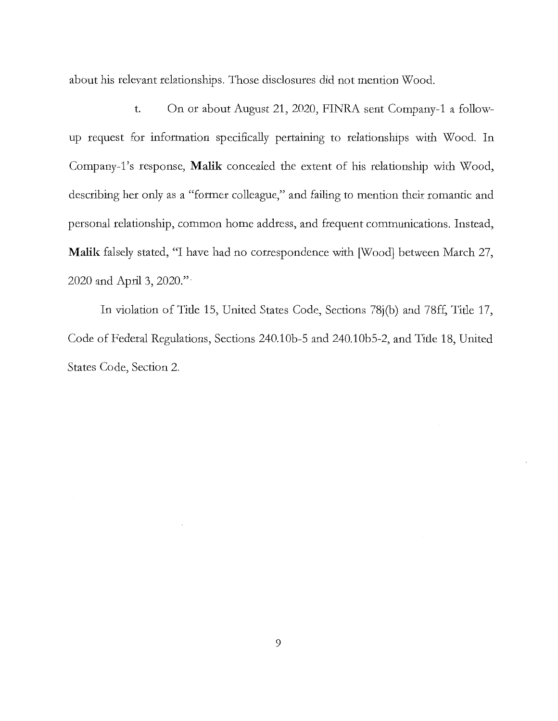about his relevant relationships. Those disclosures did not mention Wood.

t. On or about August 21, 2020, FINRA sent Company-1 a followup request for information specifically pertaining to relationships with Wood. In Company-i's response, **Malik** concealed the extent of his relationship with Wood, describing her only as a "former colleague," and failing to mention their romantic and personal relationship, common home address, and frequent communications. Instead, **Malik** falsely stated, "I have had no correspondence with [Wood] between March 27, 2020 and April 3, 2020." ·

In violation of Title 15, United States Code, Sections 78j(b) and 78ff, Title 17, Code of Federal Regulations, Sections 240.10b-5 and 240.10b5-2, and Title 18, United States Code, Section 2.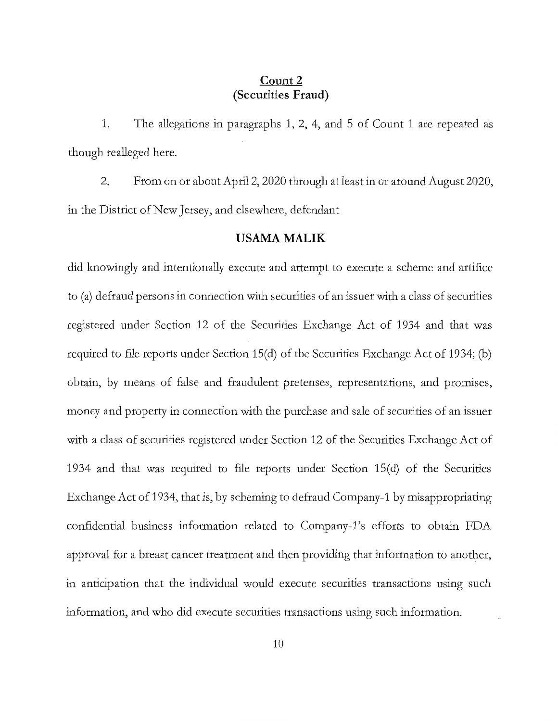## **Count2 (Securities Fraud)**

1. The allegations in paragraphs 1, 2, 4, and 5 of Count 1 are repeated as though realleged here.

2. From on or about April 2, 2020 through at least in or around August 2020, in the District of New Jersey, and elsewhere, defendant

## **USAMAMALIK**

did knowingly and intentionally execute and attempt to execute a scheme and artifice to (a) defraud persons in connection with securities of an issuer with a class of securities registered under Section 12 of the Securities Exchange Act of 1934 and that was required to file reports under Section 15(d) of the Securities Exchange Act of 1934; (b) obtain, by means of false and fraudulent pretenses, representations, and promises, money and property in connection with the purchase and sale of securities of an issuer with a class of securities registered under Section 12 of the Securities Exchange Act of 1934 and that was required to file reports under Section  $15(d)$  of the Securities Exchange Act of 1934, that is, by scheming to defraud Company-1 by misappropriating confidential business information related to Company-i's efforts to obtain FDA approval for a breast cancer treatment and then providing that information to another, in anticipation that the individual would execute securities transactions using such information, and who did execute securities transactions using such information.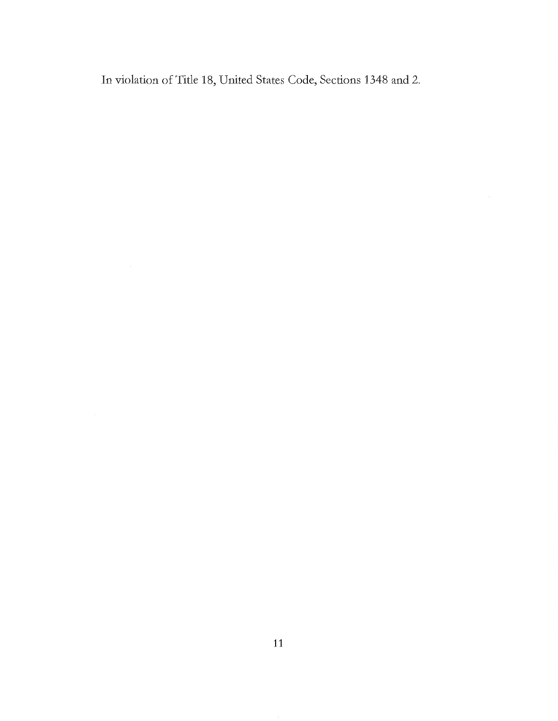In violation of Title 18, United States Code, Sections 1348 and 2.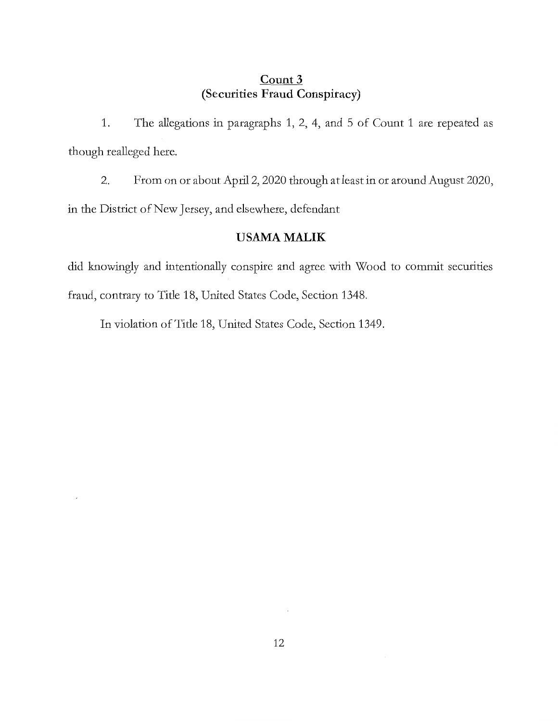# **Count3 (Securities Fraud Conspiracy)**

1. The allegations in paragraphs 1, 2, 4, and 5 of Count 1 are repeated as though realleged here.

2. From on or about April 2, 2020 through at least in or around August 2020, in the District of New Jersey, and elsewhere, defendant

# **USAMAMALIK**

did knowingly and intentionally conspire and agree with Wood to commit secutities fraud, contrary to Title 18, United States Code, Section 1348.

In violation of Title 18, United States Code, Section 1349.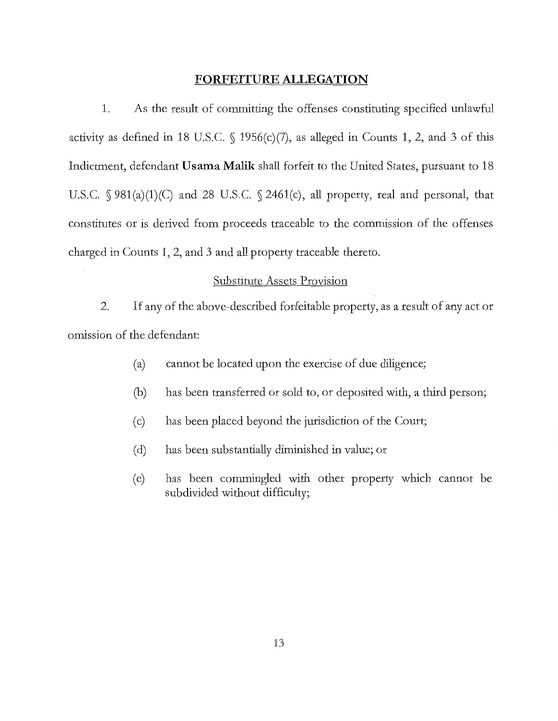#### **FORFEITURE ALLEGATION**

1. As the result of committing the offenses constituting specified unlawful activity as defined in 18 U.S.C.  $\int$  1956(c)(7), as alleged in Counts 1, 2, and 3 of this Indictment, defendant **Usama Malik** shall forfeit to the United States, pursuant to 18 U.S.C. § 981(a)(1)(C) and 28 U.S.C. § 2461(c), all property, real and personal, that constitutes or is derived from proceeds traceable to the commission of the offenses charged in Counts 1, 2, and 3 and all property traceable thereto.

## Substitute Assets Provision

2. If any of the above-described forfeitable property, as a result of any act or omission of the defendant:

- (a) cannot be located upon the exercise of due diligence;
- (b) has been transferred or sold to, or deposited with, a third person;
- ( c) has been placed beyond the jurisdiction of the Court;
- ( d) has been substantially diminished in value; or
- (e) has been commingled with other property which cannot be subdivided without difficulty;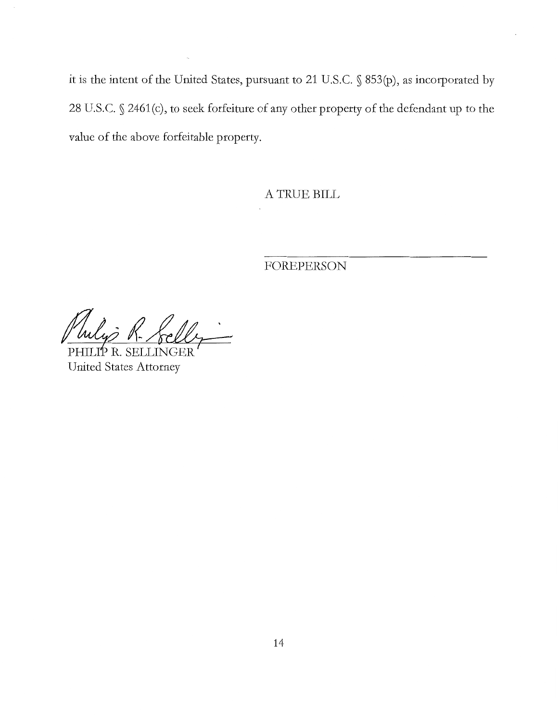it is the intent of the United States, pursuant to 21 U.S.C. § 853(p), as incorporated by 28 U.S.C. § 2461(c), to seek forfeiture of any other property of the defendant up to the value of the above forfeitable property.

A TRUE BILL

FOREPERSON

Philip R. Felly

United States Attorney